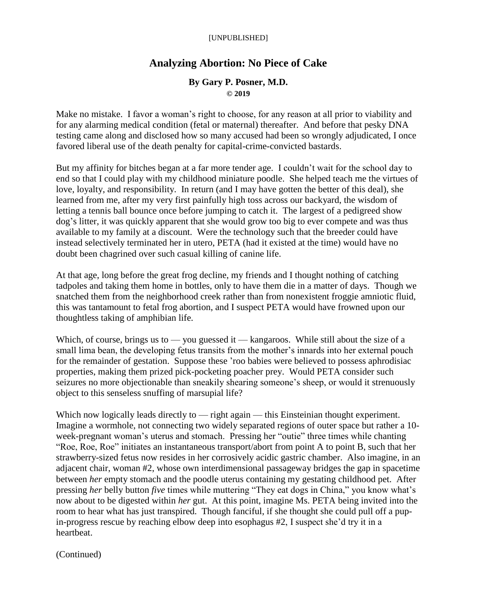## **Analyzing Abortion: No Piece of Cake**

## **By Gary P. Posner, M.D. © 2019**

Make no mistake. I favor a woman's right to choose, for any reason at all prior to viability and for any alarming medical condition (fetal or maternal) thereafter. And before that pesky DNA testing came along and disclosed how so many accused had been so wrongly adjudicated, I once favored liberal use of the death penalty for capital-crime-convicted bastards.

But my affinity for bitches began at a far more tender age. I couldn't wait for the school day to end so that I could play with my childhood miniature poodle. She helped teach me the virtues of love, loyalty, and responsibility. In return (and I may have gotten the better of this deal), she learned from me, after my very first painfully high toss across our backyard, the wisdom of letting a tennis ball bounce once before jumping to catch it. The largest of a pedigreed show dog's litter, it was quickly apparent that she would grow too big to ever compete and was thus available to my family at a discount. Were the technology such that the breeder could have instead selectively terminated her in utero, PETA (had it existed at the time) would have no doubt been chagrined over such casual killing of canine life.

At that age, long before the great frog decline, my friends and I thought nothing of catching tadpoles and taking them home in bottles, only to have them die in a matter of days. Though we snatched them from the neighborhood creek rather than from nonexistent froggie amniotic fluid, this was tantamount to fetal frog abortion, and I suspect PETA would have frowned upon our thoughtless taking of amphibian life.

Which, of course, brings us to — you guessed it — kangaroos. While still about the size of a small lima bean, the developing fetus transits from the mother's innards into her external pouch for the remainder of gestation. Suppose these 'roo babies were believed to possess aphrodisiac properties, making them prized pick-pocketing poacher prey. Would PETA consider such seizures no more objectionable than sneakily shearing someone's sheep, or would it strenuously object to this senseless snuffing of marsupial life?

Which now logically leads directly to — right again — this Einsteinian thought experiment. Imagine a wormhole, not connecting two widely separated regions of outer space but rather a 10 week-pregnant woman's uterus and stomach. Pressing her "outie" three times while chanting "Roe, Roe, Roe" initiates an instantaneous transport/abort from point A to point B, such that her strawberry-sized fetus now resides in her corrosively acidic gastric chamber. Also imagine, in an adjacent chair, woman #2, whose own interdimensional passageway bridges the gap in spacetime between *her* empty stomach and the poodle uterus containing my gestating childhood pet. After pressing *her* belly button *five* times while muttering "They eat dogs in China," you know what's now about to be digested within *her* gut. At this point, imagine Ms. PETA being invited into the room to hear what has just transpired. Though fanciful, if she thought she could pull off a pupin-progress rescue by reaching elbow deep into esophagus #2, I suspect she'd try it in a heartbeat.

(Continued)